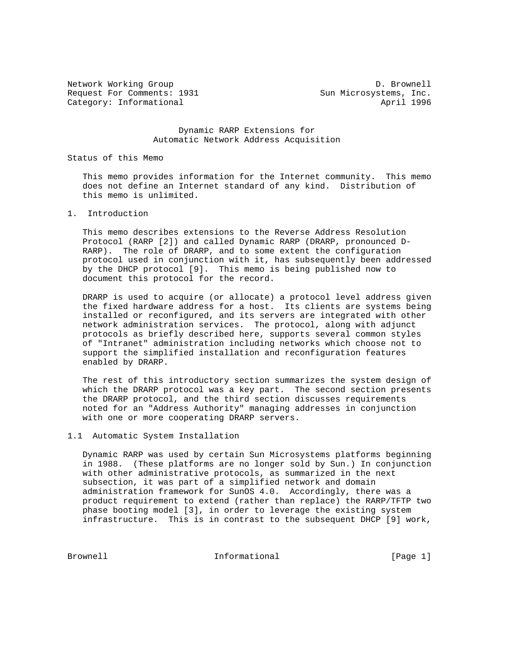Network Working Group and the control of the D. Brownell Request For Comments: 1931 Sun Microsystems, Inc. Category: Informational and April 1996

 Dynamic RARP Extensions for Automatic Network Address Acquisition

Status of this Memo

 This memo provides information for the Internet community. This memo does not define an Internet standard of any kind. Distribution of this memo is unlimited.

1. Introduction

 This memo describes extensions to the Reverse Address Resolution Protocol (RARP [2]) and called Dynamic RARP (DRARP, pronounced D- RARP). The role of DRARP, and to some extent the configuration protocol used in conjunction with it, has subsequently been addressed by the DHCP protocol [9]. This memo is being published now to document this protocol for the record.

 DRARP is used to acquire (or allocate) a protocol level address given the fixed hardware address for a host. Its clients are systems being installed or reconfigured, and its servers are integrated with other network administration services. The protocol, along with adjunct protocols as briefly described here, supports several common styles of "Intranet" administration including networks which choose not to support the simplified installation and reconfiguration features enabled by DRARP.

 The rest of this introductory section summarizes the system design of which the DRARP protocol was a key part. The second section presents the DRARP protocol, and the third section discusses requirements noted for an "Address Authority" managing addresses in conjunction with one or more cooperating DRARP servers.

## 1.1 Automatic System Installation

 Dynamic RARP was used by certain Sun Microsystems platforms beginning in 1988. (These platforms are no longer sold by Sun.) In conjunction with other administrative protocols, as summarized in the next subsection, it was part of a simplified network and domain administration framework for SunOS 4.0. Accordingly, there was a product requirement to extend (rather than replace) the RARP/TFTP two phase booting model [3], in order to leverage the existing system infrastructure. This is in contrast to the subsequent DHCP [9] work,

Brownell **Informational** Informational [Page 1]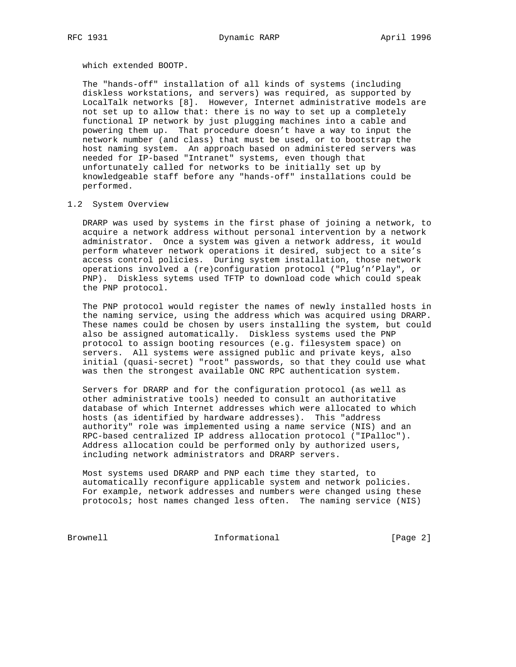which extended BOOTP.

 The "hands-off" installation of all kinds of systems (including diskless workstations, and servers) was required, as supported by LocalTalk networks [8]. However, Internet administrative models are not set up to allow that: there is no way to set up a completely functional IP network by just plugging machines into a cable and powering them up. That procedure doesn't have a way to input the network number (and class) that must be used, or to bootstrap the host naming system. An approach based on administered servers was needed for IP-based "Intranet" systems, even though that unfortunately called for networks to be initially set up by knowledgeable staff before any "hands-off" installations could be performed.

## 1.2 System Overview

 DRARP was used by systems in the first phase of joining a network, to acquire a network address without personal intervention by a network administrator. Once a system was given a network address, it would perform whatever network operations it desired, subject to a site's access control policies. During system installation, those network operations involved a (re)configuration protocol ("Plug'n'Play", or PNP). Diskless sytems used TFTP to download code which could speak the PNP protocol.

 The PNP protocol would register the names of newly installed hosts in the naming service, using the address which was acquired using DRARP. These names could be chosen by users installing the system, but could also be assigned automatically. Diskless systems used the PNP protocol to assign booting resources (e.g. filesystem space) on servers. All systems were assigned public and private keys, also initial (quasi-secret) "root" passwords, so that they could use what was then the strongest available ONC RPC authentication system.

 Servers for DRARP and for the configuration protocol (as well as other administrative tools) needed to consult an authoritative database of which Internet addresses which were allocated to which hosts (as identified by hardware addresses). This "address authority" role was implemented using a name service (NIS) and an RPC-based centralized IP address allocation protocol ("IPalloc"). Address allocation could be performed only by authorized users, including network administrators and DRARP servers.

 Most systems used DRARP and PNP each time they started, to automatically reconfigure applicable system and network policies. For example, network addresses and numbers were changed using these protocols; host names changed less often. The naming service (NIS)

Brownell Informational [Page 2]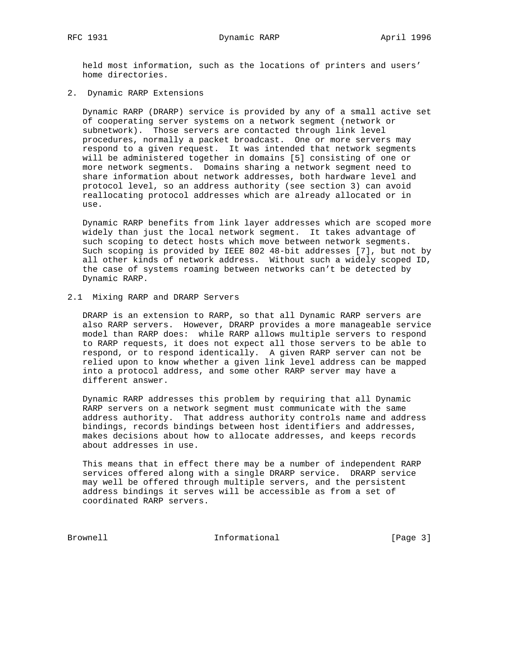held most information, such as the locations of printers and users' home directories.

2. Dynamic RARP Extensions

 Dynamic RARP (DRARP) service is provided by any of a small active set of cooperating server systems on a network segment (network or subnetwork). Those servers are contacted through link level procedures, normally a packet broadcast. One or more servers may respond to a given request. It was intended that network segments will be administered together in domains [5] consisting of one or more network segments. Domains sharing a network segment need to share information about network addresses, both hardware level and protocol level, so an address authority (see section 3) can avoid reallocating protocol addresses which are already allocated or in use.

 Dynamic RARP benefits from link layer addresses which are scoped more widely than just the local network segment. It takes advantage of such scoping to detect hosts which move between network segments. Such scoping is provided by IEEE 802 48-bit addresses [7], but not by all other kinds of network address. Without such a widely scoped ID, the case of systems roaming between networks can't be detected by Dynamic RARP.

2.1 Mixing RARP and DRARP Servers

 DRARP is an extension to RARP, so that all Dynamic RARP servers are also RARP servers. However, DRARP provides a more manageable service model than RARP does: while RARP allows multiple servers to respond to RARP requests, it does not expect all those servers to be able to respond, or to respond identically. A given RARP server can not be relied upon to know whether a given link level address can be mapped into a protocol address, and some other RARP server may have a different answer.

 Dynamic RARP addresses this problem by requiring that all Dynamic RARP servers on a network segment must communicate with the same address authority. That address authority controls name and address bindings, records bindings between host identifiers and addresses, makes decisions about how to allocate addresses, and keeps records about addresses in use.

 This means that in effect there may be a number of independent RARP services offered along with a single DRARP service. DRARP service may well be offered through multiple servers, and the persistent address bindings it serves will be accessible as from a set of coordinated RARP servers.

Brownell Informational [Page 3]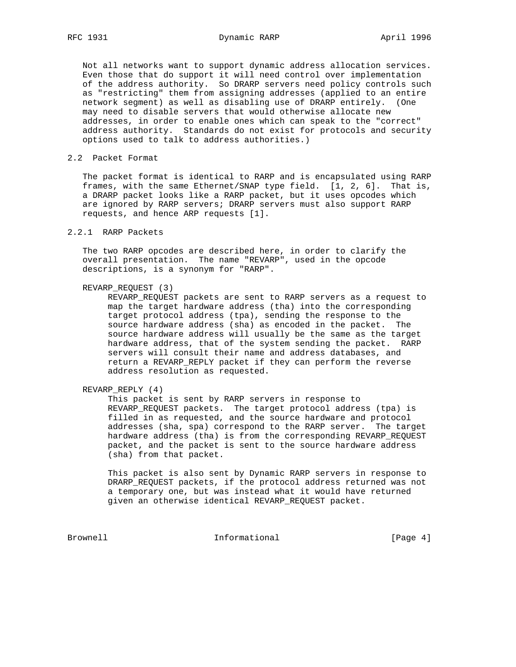Not all networks want to support dynamic address allocation services. Even those that do support it will need control over implementation of the address authority. So DRARP servers need policy controls such as "restricting" them from assigning addresses (applied to an entire network segment) as well as disabling use of DRARP entirely. (One may need to disable servers that would otherwise allocate new addresses, in order to enable ones which can speak to the "correct" address authority. Standards do not exist for protocols and security options used to talk to address authorities.)

#### 2.2 Packet Format

 The packet format is identical to RARP and is encapsulated using RARP frames, with the same Ethernet/SNAP type field. [1, 2, 6]. That is, a DRARP packet looks like a RARP packet, but it uses opcodes which are ignored by RARP servers; DRARP servers must also support RARP requests, and hence ARP requests [1].

# 2.2.1 RARP Packets

 The two RARP opcodes are described here, in order to clarify the overall presentation. The name "REVARP", used in the opcode descriptions, is a synonym for "RARP".

## REVARP\_REQUEST (3)

 REVARP\_REQUEST packets are sent to RARP servers as a request to map the target hardware address (tha) into the corresponding target protocol address (tpa), sending the response to the source hardware address (sha) as encoded in the packet. The source hardware address will usually be the same as the target hardware address, that of the system sending the packet. RARP servers will consult their name and address databases, and return a REVARP\_REPLY packet if they can perform the reverse address resolution as requested.

```
 REVARP_REPLY (4)
```
 This packet is sent by RARP servers in response to REVARP\_REQUEST packets. The target protocol address (tpa) is filled in as requested, and the source hardware and protocol addresses (sha, spa) correspond to the RARP server. The target hardware address (tha) is from the corresponding REVARP\_REQUEST packet, and the packet is sent to the source hardware address (sha) from that packet.

 This packet is also sent by Dynamic RARP servers in response to DRARP\_REQUEST packets, if the protocol address returned was not a temporary one, but was instead what it would have returned given an otherwise identical REVARP\_REQUEST packet.

Brownell Informational [Page 4]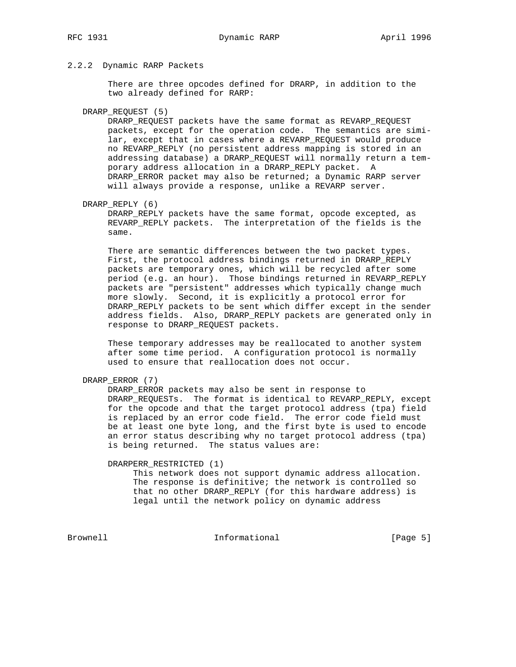# 2.2.2 Dynamic RARP Packets

 There are three opcodes defined for DRARP, in addition to the two already defined for RARP:

#### DRARP\_REQUEST (5)

 DRARP\_REQUEST packets have the same format as REVARP\_REQUEST packets, except for the operation code. The semantics are simi lar, except that in cases where a REVARP\_REQUEST would produce no REVARP\_REPLY (no persistent address mapping is stored in an addressing database) a DRARP\_REQUEST will normally return a tem porary address allocation in a DRARP\_REPLY packet. A DRARP\_ERROR packet may also be returned; a Dynamic RARP server will always provide a response, unlike a REVARP server.

## DRARP\_REPLY (6)

 DRARP\_REPLY packets have the same format, opcode excepted, as REVARP\_REPLY packets. The interpretation of the fields is the same.

 There are semantic differences between the two packet types. First, the protocol address bindings returned in DRARP\_REPLY packets are temporary ones, which will be recycled after some period (e.g. an hour). Those bindings returned in REVARP\_REPLY packets are "persistent" addresses which typically change much more slowly. Second, it is explicitly a protocol error for DRARP\_REPLY packets to be sent which differ except in the sender address fields. Also, DRARP\_REPLY packets are generated only in response to DRARP\_REQUEST packets.

 These temporary addresses may be reallocated to another system after some time period. A configuration protocol is normally used to ensure that reallocation does not occur.

## DRARP\_ERROR (7)

 DRARP\_ERROR packets may also be sent in response to DRARP\_REQUESTs. The format is identical to REVARP\_REPLY, except for the opcode and that the target protocol address (tpa) field is replaced by an error code field. The error code field must be at least one byte long, and the first byte is used to encode an error status describing why no target protocol address (tpa) is being returned. The status values are:

DRARPERR\_RESTRICTED (1)

 This network does not support dynamic address allocation. The response is definitive; the network is controlled so that no other DRARP\_REPLY (for this hardware address) is legal until the network policy on dynamic address

Brownell **Informational** Informational [Page 5]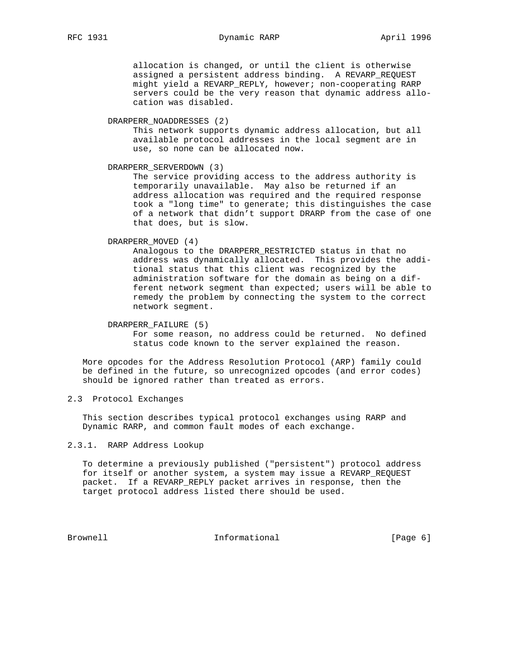# RFC 1931 Dynamic RARP April 1996

 allocation is changed, or until the client is otherwise assigned a persistent address binding. A REVARP\_REQUEST might yield a REVARP\_REPLY, however; non-cooperating RARP servers could be the very reason that dynamic address allo cation was disabled.

## DRARPERR\_NOADDRESSES (2)

 This network supports dynamic address allocation, but all available protocol addresses in the local segment are in use, so none can be allocated now.

DRARPERR\_SERVERDOWN (3)

 The service providing access to the address authority is temporarily unavailable. May also be returned if an address allocation was required and the required response took a "long time" to generate; this distinguishes the case of a network that didn't support DRARP from the case of one that does, but is slow.

DRARPERR\_MOVED (4)

 Analogous to the DRARPERR\_RESTRICTED status in that no address was dynamically allocated. This provides the addi tional status that this client was recognized by the administration software for the domain as being on a dif ferent network segment than expected; users will be able to remedy the problem by connecting the system to the correct network segment.

 DRARPERR\_FAILURE (5) For some reason, no address could be returned. No defined status code known to the server explained the reason.

 More opcodes for the Address Resolution Protocol (ARP) family could be defined in the future, so unrecognized opcodes (and error codes) should be ignored rather than treated as errors.

2.3 Protocol Exchanges

 This section describes typical protocol exchanges using RARP and Dynamic RARP, and common fault modes of each exchange.

# 2.3.1. RARP Address Lookup

 To determine a previously published ("persistent") protocol address for itself or another system, a system may issue a REVARP\_REQUEST packet. If a REVARP\_REPLY packet arrives in response, then the target protocol address listed there should be used.

Brownell **Informational** Informational [Page 6]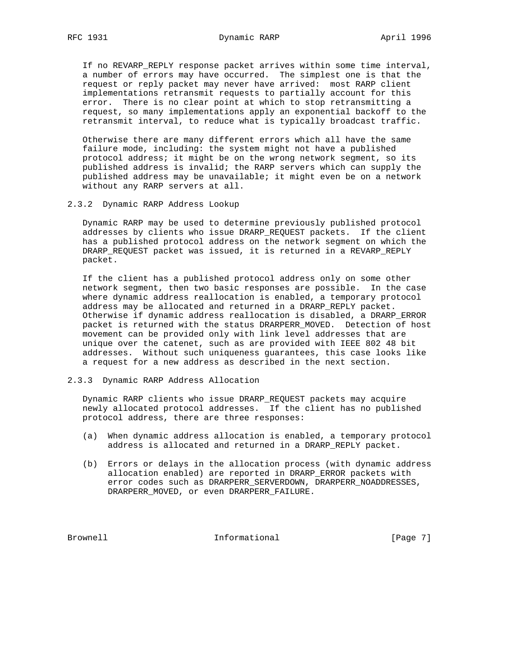If no REVARP\_REPLY response packet arrives within some time interval, a number of errors may have occurred. The simplest one is that the request or reply packet may never have arrived: most RARP client implementations retransmit requests to partially account for this error. There is no clear point at which to stop retransmitting a request, so many implementations apply an exponential backoff to the retransmit interval, to reduce what is typically broadcast traffic.

 Otherwise there are many different errors which all have the same failure mode, including: the system might not have a published protocol address; it might be on the wrong network segment, so its published address is invalid; the RARP servers which can supply the published address may be unavailable; it might even be on a network without any RARP servers at all.

2.3.2 Dynamic RARP Address Lookup

 Dynamic RARP may be used to determine previously published protocol addresses by clients who issue DRARP\_REQUEST packets. If the client has a published protocol address on the network segment on which the DRARP\_REQUEST packet was issued, it is returned in a REVARP\_REPLY packet.

 If the client has a published protocol address only on some other network segment, then two basic responses are possible. In the case where dynamic address reallocation is enabled, a temporary protocol address may be allocated and returned in a DRARP\_REPLY packet. Otherwise if dynamic address reallocation is disabled, a DRARP\_ERROR packet is returned with the status DRARPERR\_MOVED. Detection of host movement can be provided only with link level addresses that are unique over the catenet, such as are provided with IEEE 802 48 bit addresses. Without such uniqueness guarantees, this case looks like a request for a new address as described in the next section.

## 2.3.3 Dynamic RARP Address Allocation

 Dynamic RARP clients who issue DRARP\_REQUEST packets may acquire newly allocated protocol addresses. If the client has no published protocol address, there are three responses:

- (a) When dynamic address allocation is enabled, a temporary protocol address is allocated and returned in a DRARP\_REPLY packet.
- (b) Errors or delays in the allocation process (with dynamic address allocation enabled) are reported in DRARP\_ERROR packets with error codes such as DRARPERR\_SERVERDOWN, DRARPERR\_NOADDRESSES, DRARPERR\_MOVED, or even DRARPERR\_FAILURE.

Brownell **Informational** Informational [Page 7]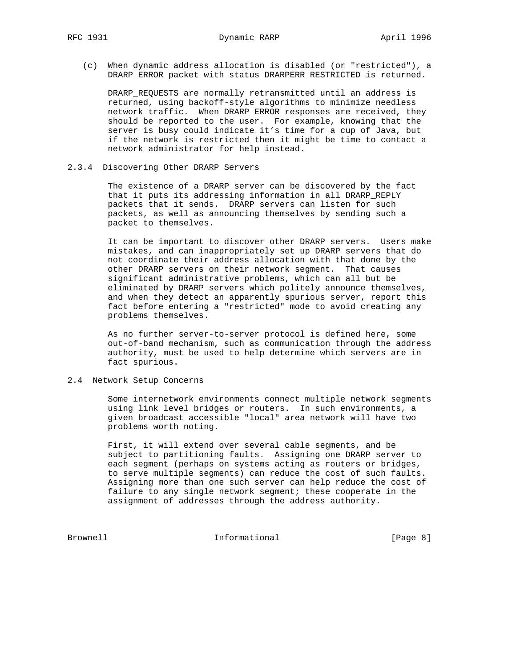(c) When dynamic address allocation is disabled (or "restricted"), a DRARP\_ERROR packet with status DRARPERR\_RESTRICTED is returned.

 DRARP\_REQUESTS are normally retransmitted until an address is returned, using backoff-style algorithms to minimize needless network traffic. When DRARP\_ERROR responses are received, they should be reported to the user. For example, knowing that the server is busy could indicate it's time for a cup of Java, but if the network is restricted then it might be time to contact a network administrator for help instead.

#### 2.3.4 Discovering Other DRARP Servers

 The existence of a DRARP server can be discovered by the fact that it puts its addressing information in all DRARP\_REPLY packets that it sends. DRARP servers can listen for such packets, as well as announcing themselves by sending such a packet to themselves.

 It can be important to discover other DRARP servers. Users make mistakes, and can inappropriately set up DRARP servers that do not coordinate their address allocation with that done by the other DRARP servers on their network segment. That causes significant administrative problems, which can all but be eliminated by DRARP servers which politely announce themselves, and when they detect an apparently spurious server, report this fact before entering a "restricted" mode to avoid creating any problems themselves.

 As no further server-to-server protocol is defined here, some out-of-band mechanism, such as communication through the address authority, must be used to help determine which servers are in fact spurious.

# 2.4 Network Setup Concerns

 Some internetwork environments connect multiple network segments using link level bridges or routers. In such environments, a given broadcast accessible "local" area network will have two problems worth noting.

 First, it will extend over several cable segments, and be subject to partitioning faults. Assigning one DRARP server to each segment (perhaps on systems acting as routers or bridges, to serve multiple segments) can reduce the cost of such faults. Assigning more than one such server can help reduce the cost of failure to any single network segment; these cooperate in the assignment of addresses through the address authority.

Brownell Informational [Page 8]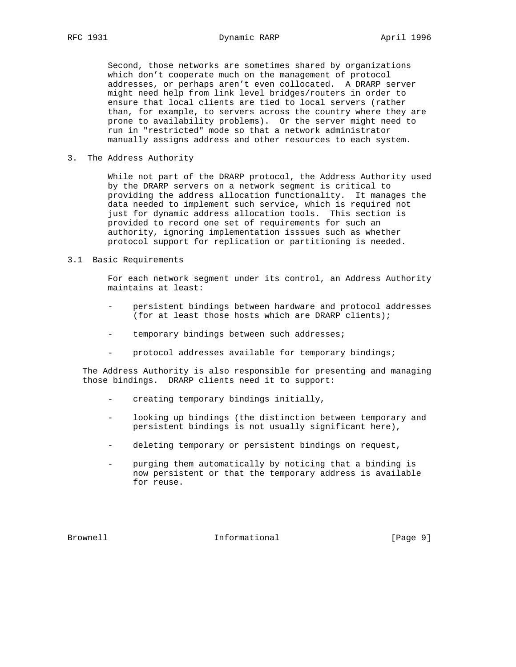Second, those networks are sometimes shared by organizations which don't cooperate much on the management of protocol addresses, or perhaps aren't even collocated. A DRARP server might need help from link level bridges/routers in order to ensure that local clients are tied to local servers (rather than, for example, to servers across the country where they are prone to availability problems). Or the server might need to run in "restricted" mode so that a network administrator manually assigns address and other resources to each system.

3. The Address Authority

 While not part of the DRARP protocol, the Address Authority used by the DRARP servers on a network segment is critical to providing the address allocation functionality. It manages the data needed to implement such service, which is required not just for dynamic address allocation tools. This section is provided to record one set of requirements for such an authority, ignoring implementation isssues such as whether protocol support for replication or partitioning is needed.

## 3.1 Basic Requirements

 For each network segment under its control, an Address Authority maintains at least:

- persistent bindings between hardware and protocol addresses (for at least those hosts which are DRARP clients);
- temporary bindings between such addresses;
- protocol addresses available for temporary bindings;

 The Address Authority is also responsible for presenting and managing those bindings. DRARP clients need it to support:

- creating temporary bindings initially,
- looking up bindings (the distinction between temporary and persistent bindings is not usually significant here),
- deleting temporary or persistent bindings on request,
- purging them automatically by noticing that a binding is now persistent or that the temporary address is available for reuse.

Brownell **Informational** Informational [Page 9]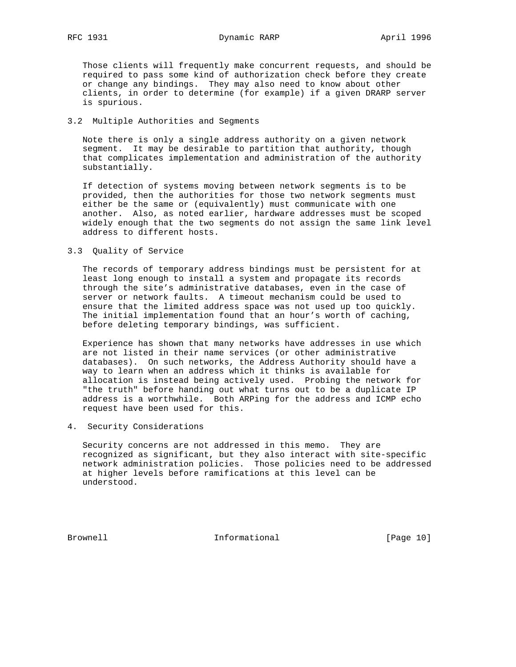Those clients will frequently make concurrent requests, and should be required to pass some kind of authorization check before they create or change any bindings. They may also need to know about other clients, in order to determine (for example) if a given DRARP server is spurious.

## 3.2 Multiple Authorities and Segments

 Note there is only a single address authority on a given network segment. It may be desirable to partition that authority, though that complicates implementation and administration of the authority substantially.

 If detection of systems moving between network segments is to be provided, then the authorities for those two network segments must either be the same or (equivalently) must communicate with one another. Also, as noted earlier, hardware addresses must be scoped widely enough that the two segments do not assign the same link level address to different hosts.

#### 3.3 Quality of Service

 The records of temporary address bindings must be persistent for at least long enough to install a system and propagate its records through the site's administrative databases, even in the case of server or network faults. A timeout mechanism could be used to ensure that the limited address space was not used up too quickly. The initial implementation found that an hour's worth of caching, before deleting temporary bindings, was sufficient.

 Experience has shown that many networks have addresses in use which are not listed in their name services (or other administrative databases). On such networks, the Address Authority should have a way to learn when an address which it thinks is available for allocation is instead being actively used. Probing the network for "the truth" before handing out what turns out to be a duplicate IP address is a worthwhile. Both ARPing for the address and ICMP echo request have been used for this.

#### 4. Security Considerations

 Security concerns are not addressed in this memo. They are recognized as significant, but they also interact with site-specific network administration policies. Those policies need to be addressed at higher levels before ramifications at this level can be understood.

Brownell **Informational** Informational [Page 10]